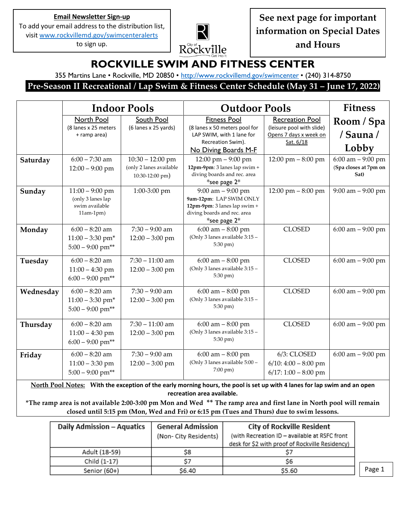#### **Email Newsletter Sign-up**

To add your email address to the distribution list, visi[t www.rockvillemd.gov/swimcenteralerts](http://www.rockvillemd.gov/swimcenteralerts)

to sign up.



**See next page for important information on Special Dates and Hours**

# **ROCKVILLE SWIM AND FITNESS CENTER**

355 Martins Lane • Rockville, MD 20850 • <http://www.rockvillemd.gov/swimcenter> • (240) 314-8750

**Pre-Season II Recreational / Lap Swim & Fitness Center Schedule (May 31 – June 17, 2022)**

|           | <b>Indoor Pools</b>                                                      |                                                                  | <b>Outdoor Pools</b>                                                                                                             | <b>Fitness</b>                                                                             |                                                       |
|-----------|--------------------------------------------------------------------------|------------------------------------------------------------------|----------------------------------------------------------------------------------------------------------------------------------|--------------------------------------------------------------------------------------------|-------------------------------------------------------|
|           | North Pool<br>(8 lanes x 25 meters<br>+ ramp area)                       | South Pool<br>(6 lanes x 25 yards)                               | <b>Fitness Pool</b><br>(8 lanes x 50 meters pool for<br>LAP SWIM, with 1 lane for<br>Recreation Swim).<br>No Diving Boards M-F   | <b>Recreation Pool</b><br>(leisure pool with slide)<br>Opens 7 days x week on<br>Sat. 6/18 | Room / Spa<br>/ Sauna /<br>Lobby                      |
| Saturday  | $6:00 - 7:30$ am<br>$12:00 - 9:00$ pm                                    | $10:30 - 12:00$ pm<br>(only 2 lanes available<br>10:30-12:00 pm) | 12:00 pm $-9:00$ pm<br>12pm-9pm: 3 lanes lap swim +<br>diving boards and rec. area<br>*see page $2*$                             | 12:00 pm $-8:00$ pm                                                                        | $6:00$ am $-9:00$ pm<br>(Spa closes at 7pm on<br>Sat) |
| Sunday    | $11:00 - 9:00$ pm<br>(only 3 lanes lap<br>swim available<br>$11am-1pm)$  | 1:00-3:00 pm                                                     | $9:00$ am $-9:00$ pm<br>9am-12pm: LAP SWIM ONLY<br>12pm-9pm: 3 lanes lap swim +<br>diving boards and rec. area<br>*see page $2*$ | 12:00 pm $-8:00$ pm                                                                        | $9:00$ am $-9:00$ pm                                  |
| Monday    | $6:00 - 8:20$ am<br>$11:00 - 3:30$ pm*<br>$5:00 - 9:00$ pm**             | $7:30 - 9:00$ am<br>$12:00 - 3:00$ pm                            | $6:00$ am $-8:00$ pm<br>(Only 3 lanes available 3:15 -<br>5:30 pm)                                                               | <b>CLOSED</b>                                                                              | 6:00 am $-9:00$ pm                                    |
| Tuesday   | $6:00 - 8:20$ am<br>$11:00 - 4:30$ pm<br>$6:00 - 9:00$ pm**              | $7:30 - 11:00$ am<br>$12:00 - 3:00$ pm                           | $6:00$ am $-8:00$ pm<br>(Only 3 lanes available 3:15 -<br>5:30 pm)                                                               | <b>CLOSED</b>                                                                              | $6:00$ am $-9:00$ pm                                  |
| Wednesday | $6:00 - 8:20$ am<br>$11:00 - 3:30$ pm <sup>*</sup><br>$5:00 - 9:00$ pm** | $7:30 - 9:00$ am<br>$12:00 - 3:00$ pm                            | $6:00$ am $-8:00$ pm<br>(Only 3 lanes available 3:15 -<br>5:30 pm)                                                               | <b>CLOSED</b>                                                                              | $6:00$ am $-9:00$ pm                                  |
| Thursday  | $6:00 - 8:20$ am<br>$11:00 - 4:30$ pm<br>$6:00 - 9:00$ pm**              | $7:30 - 11:00$ am<br>$12:00 - 3:00$ pm                           | $6:00$ am $-8:00$ pm<br>(Only 3 lanes available 3:15 -<br>5:30 pm)                                                               | <b>CLOSED</b>                                                                              | $6:00$ am $-9:00$ pm                                  |
| Friday    | $6:00 - 8:20$ am<br>$11:00 - 3:30$ pm<br>$5:00 - 9:00$ pm**              | $7:30 - 9:00$ am<br>$12:00 - 3:00$ pm                            | $6:00$ am $-8:00$ pm<br>(Only 3 lanes available 5:00 -<br>$7:00 \text{ pm}$ )                                                    | 6/3: CLOSED<br>$6/10$ : 4:00 - 8:00 pm<br>$6/17:1:00-8:00$ pm                              | $6:00$ am $-9:00$ pm                                  |

**North Pool Notes: With the exception of the early morning hours, the pool is set up with 4 lanes for lap swim and an open recreation area available.**

**\*The ramp area is not available 2:00-3:00 pm Mon and Wed \*\* The ramp area and first lane in North pool will remain closed until 5:15 pm (Mon, Wed and Fri) or 6:15 pm (Tues and Thurs) due to swim lessons.**

| <b>Daily Admission - Aquatics</b> | <b>General Admission</b> | City of Rockville Resident                      |  |
|-----------------------------------|--------------------------|-------------------------------------------------|--|
|                                   | (Non- City Residents)    | (with Recreation ID - available at RSFC front   |  |
|                                   |                          | desk for \$2 with proof of Rockville Residency) |  |
| Adult (18-59)                     | S8                       |                                                 |  |
| Child (1-17)                      | S7                       | S6                                              |  |
| Senior (60+)                      | \$6.40                   | \$5.60                                          |  |

Page 1